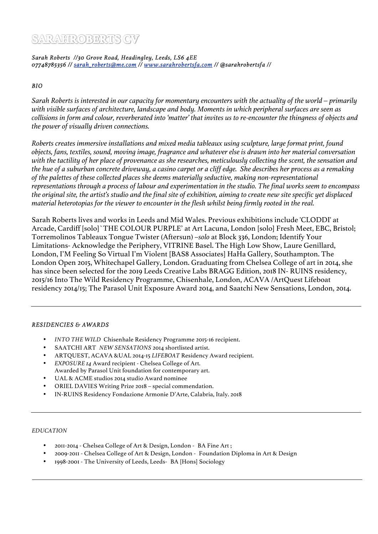# SARAHROBERTS CV

Sarah Roberts //30 Grove Road, Headingley, Leeds, LS6 4EE 07748785356 // sarah\_roberts@me.com // www.sarahrobertsfa.com // @sarahrobertsfa //

**BIO** 

*Sarah Roberts is interested in our capacity for momentary encounters with the actuality of the world – primarily with visible surfaces of architecture, landscape and body. Moments in which peripheral surfaces are seen as collisions in form and colour, reverberated into 'matter' that invites us to re-encounter the thingness of objects and the power of visually driven connections.* 

*Roberts creates immersive installations and mixed media tableaux using sculpture, large format print, found objects, fans, textiles, sound, moving image, fragrance and whatever else is drawn into her material conversation with the tactility of her place of provenance as she researches, meticulously collecting the scent, the sensation and the hue of a suburban concrete driveway, a casino carpet or a cliff edge. She describes her process as a remaking of the palettes of these collected places she deems materially seductive, making non-representational representations through a process of labour and experimentation in the studio. The final works seem to encompass the original site, the artist's studio and the final site of exhibition, aiming to create new site specific yet displaced material heterotopias for the viewer to encounter in the flesh whilst being firmly rooted in the real.* 

Sarah Roberts lives and works in Leeds and Mid Wales. Previous exhibitions include 'CLODDI' at Arcade, Cardiff [solo]`THE COLOUR PURPLE' at Art Lacuna, London [solo] Fresh Meet, EBC, Bristol; Torremolinos Tableaux Tongue Twister (Aftersun) –*solo* at Block 336, London; Identify Your Limitations- Acknowledge the Periphery, VITRINE Basel. The High Low Show, Laure Genillard, London, I'M Feeling So Virtual I'm Violent [BAS8 Associates] HaHa Gallery, Southampton. The London Open 2015, Whitechapel Gallery, London. Graduating from Chelsea College of art in 2014, she has since been selected for the 2019 Leeds Creative Labs BRAGG Edition, 2018 IN- RUINS residency, 2015/16 Into The Wild Residency Programme, Chisenhale, London, ACAVA /ArtQuest Lifeboat residency 2014/15; The Parasol Unit Exposure Award 2014, and Saatchi New Sensations, London, 2014.

# **RESIDENCIES & AWARDS**

- *INTO THE WILD* Chisenhale Residency Programme 2015-16 recipient.
- SAATCHI ART *NEW SENSATIONS* 2014 shortlisted artist.
- ARTQUEST, ACAVA &UAL 2014-15 *LIFEBOAT* Residency Award recipient.
- *EXPOSURE 14* Award recipient Chelsea College of Art. Awarded by Parasol Unit foundation for contemporary art.
- UAL & ACME studios 2014 studio Award nominee
- ORIEL DAVIES Writing Prize 2018 special commendation.
- IN-RUINS Residency Fondazione Armonie D'Arte, Calabria, Italy. 2018

# *EDUCATION*

- 2011-2014 Chelsea College of Art & Design, London BA Fine Art ;
- 2009-2011 Chelsea College of Art & Design, London Foundation Diploma in Art & Design
- 1998-2001 The University of Leeds, Leeds- BA [Hons] Sociology